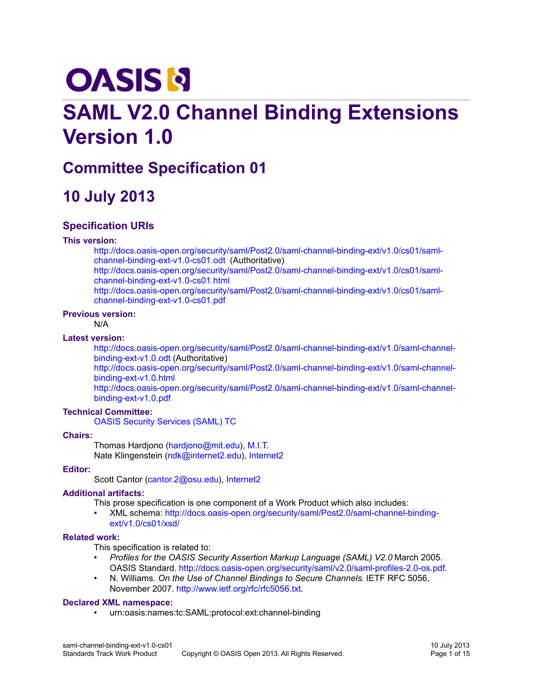# **OASIS N**

## **SAML V2.0 Channel Binding Extensions Version 1.0**

## **Committee Specification 01**

## **10 July 2013**

## **Specification URIs**

## **This version:**

[http://docs.oasis-open.org/security/saml/Post2.0/saml-channel-binding-ext/v1.0/cs01/saml](http://docs.oasis-open.org/security/saml/Post2.0/saml-channel-binding-ext/v1.0/cs01/saml-channel-binding-ext-v1.0-cs01.odt)[channel-binding-ext-v1.0-cs01.odt](http://docs.oasis-open.org/security/saml/Post2.0/saml-channel-binding-ext/v1.0/cs01/saml-channel-binding-ext-v1.0-cs01.odt) (Authoritative) [http://docs.oasis-open.org/security/saml/Post2.0/saml-channel-binding-ext/v1.0/cs01/saml](http://docs.oasis-open.org/security/saml/Post2.0/saml-channel-binding-ext/v1.0/cs01/saml-channel-binding-ext-v1.0-cs01.html)[channel-binding-ext-v1.0-cs01.html](http://docs.oasis-open.org/security/saml/Post2.0/saml-channel-binding-ext/v1.0/cs01/saml-channel-binding-ext-v1.0-cs01.html) [http://docs.oasis-open.org/security/saml/Post2.0/saml-channel-binding-ext/v1.0/cs01/saml](http://docs.oasis-open.org/security/saml/Post2.0/saml-channel-binding-ext/v1.0/cs01/saml-channel-binding-ext-v1.0-cs01.pdf)[channel-binding-ext-v1.0-cs01.pdf](http://docs.oasis-open.org/security/saml/Post2.0/saml-channel-binding-ext/v1.0/cs01/saml-channel-binding-ext-v1.0-cs01.pdf)

## **Previous version:**

N/A

## **Latest version:**

[http://docs.oasis-open.org/security/saml/Post2.0/saml-channel-binding-ext/v1.0/saml-channel](http://docs.oasis-open.org/security/saml/Post2.0/saml-channel-binding-ext/v1.0/saml-channel-binding-ext-v1.0.odt)[binding-ext-v1.0.odt](http://docs.oasis-open.org/security/saml/Post2.0/saml-channel-binding-ext/v1.0/saml-channel-binding-ext-v1.0.odt) (Authoritative)

[http://docs.oasis-open.org/security/saml/Post2.0/saml-channel-binding-ext/v1.0/saml-channel](http://docs.oasis-open.org/security/saml/Post2.0/saml-channel-binding-ext/v1.0/saml-channel-binding-ext-v1.0.html)[binding-ext-v1.0.html](http://docs.oasis-open.org/security/saml/Post2.0/saml-channel-binding-ext/v1.0/saml-channel-binding-ext-v1.0.html)

[http://docs.oasis-open.org/security/saml/Post2.0/saml-channel-binding-ext/v1.0/saml-channel](http://docs.oasis-open.org/security/saml/Post2.0/saml-channel-binding-ext/v1.0/saml-channel-binding-ext-v1.0.pdf)[binding-ext-v1.0.pdf](http://docs.oasis-open.org/security/saml/Post2.0/saml-channel-binding-ext/v1.0/saml-channel-binding-ext-v1.0.pdf)

## **Technical Committee:**

[OASIS Security Services \(SAML\) TC](http://www.oasis-open.org/committees/security/)

## **Chairs:**

Thomas Hardjono [\(hardjono@mit.edu\)](mailto:hardjono@mit.edu), [M.I.T.](http://www.mit.edu/) Nate Klingenstein [\(ndk@internet2.edu\)](mailto:ndk@internet2.edu), [Internet2](http://www.internet2.edu/)

## **Editor:**

Scott Cantor [\(cantor.2@osu.edu\)](mailto:cantor.2@osu.edu), [Internet2](http://www.internet2.edu/)

## **Additional artifacts:**

This prose specification is one component of a Work Product which also includes:

• XML schema: [http://docs.oasis-open.org/security/saml/Post2.0/saml-channel-binding](http://docs.oasis-open.org/security/saml/Post2.0/saml-channel-binding-ext/v1.0/cs01/xsd/)[ext/v1.0/cs01/xsd/](http://docs.oasis-open.org/security/saml/Post2.0/saml-channel-binding-ext/v1.0/cs01/xsd/)

## **Related work:**

This specification is related to:

- *Profiles for the OASIS Security Assertion Markup Language (SAML) V2.0* March 2005. OASIS Standard. [http://docs.oasis-open.org/security/saml/v2.0/saml-profiles-2.0-os.pdf.](http://docs.oasis-open.org/security/saml/v2.0/saml-profiles-2.0-os.pdf)
- N. Williams. *On the Use of Channel Bindings to Secure Channels*. IETF RFC 5056, November 2007. [http://www.ietf.org/rfc/rfc5056.txt.](http://www.ietf.org/rfc/rfc5056.txt)

## **Declared XML namespace:**

• urn:oasis:names:tc:SAML:protocol:ext:channel-binding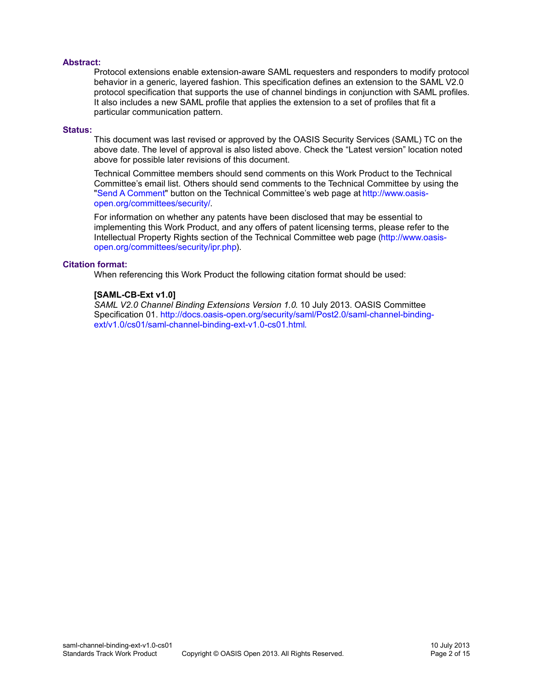## **Abstract:**

Protocol extensions enable extension-aware SAML requesters and responders to modify protocol behavior in a generic, layered fashion. This specification defines an extension to the SAML V2.0 protocol specification that supports the use of channel bindings in conjunction with SAML profiles. It also includes a new SAML profile that applies the extension to a set of profiles that fit a particular communication pattern.

## **Status:**

This document was last revised or approved by the OASIS Security Services (SAML) TC on the above date. The level of approval is also listed above. Check the "Latest version" location noted above for possible later revisions of this document.

Technical Committee members should send comments on this Work Product to the Technical Committee's email list. Others should send comments to the Technical Committee by using the ["Send A Comment"](https://www.oasis-open.org/committees/comments/index.php?wg_abbrev=security) button on the Technical Committee's web page at [http://www.oasis](http://www.oasis-open.org/committees/security/)[open.org/committees/security/.](http://www.oasis-open.org/committees/security/)

For information on whether any patents have been disclosed that may be essential to implementing this Work Product, and any offers of patent licensing terms, please refer to the Intellectual Property Rights section of the Technical Committee web page [\(http://www.oasis](http://www.oasis-open.org/committees/security/ipr.php)[open.org/committees/security/ipr.php\)](http://www.oasis-open.org/committees/security/ipr.php).

## **Citation format:**

When referencing this Work Product the following citation format should be used:

## **[SAML-CB-Ext v1.0]**

*SAML V2.0 Channel Binding Extensions Version 1.0*. 10 July 2013. OASIS Committee Specification 01. [http://docs.oasis-open.org/security/saml/Post2.0/saml-channel-binding](http://docs.oasis-open.org/security/saml/Post2.0/saml-channel-binding-ext/v1.0/cs01/saml-channel-binding-ext-v1.0-cs01.html)[ext/v1.0/cs01/saml-channel-binding-ext-v1.0-cs01.html.](http://docs.oasis-open.org/security/saml/Post2.0/saml-channel-binding-ext/v1.0/cs01/saml-channel-binding-ext-v1.0-cs01.html)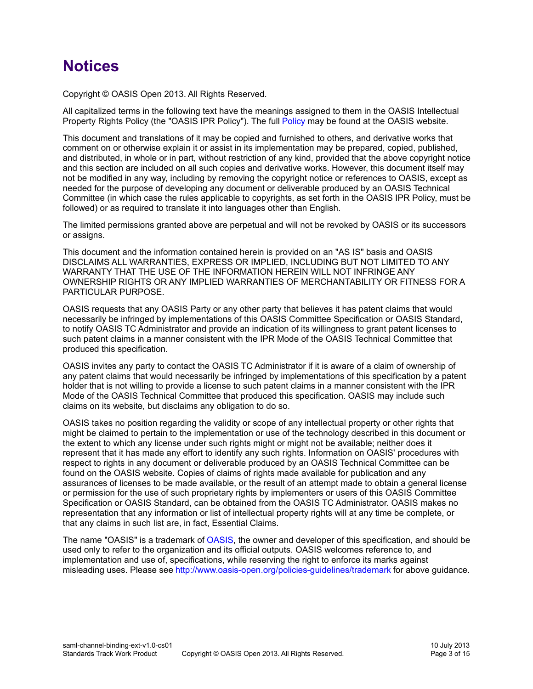## **Notices**

Copyright © OASIS Open 2013. All Rights Reserved.

All capitalized terms in the following text have the meanings assigned to them in the OASIS Intellectual Property Rights Policy (the "OASIS IPR Policy"). The full [Policy](http://www.oasis-open.org/policies-guidelines/ipr) may be found at the OASIS website.

This document and translations of it may be copied and furnished to others, and derivative works that comment on or otherwise explain it or assist in its implementation may be prepared, copied, published, and distributed, in whole or in part, without restriction of any kind, provided that the above copyright notice and this section are included on all such copies and derivative works. However, this document itself may not be modified in any way, including by removing the copyright notice or references to OASIS, except as needed for the purpose of developing any document or deliverable produced by an OASIS Technical Committee (in which case the rules applicable to copyrights, as set forth in the OASIS IPR Policy, must be followed) or as required to translate it into languages other than English.

The limited permissions granted above are perpetual and will not be revoked by OASIS or its successors or assigns.

This document and the information contained herein is provided on an "AS IS" basis and OASIS DISCLAIMS ALL WARRANTIES, EXPRESS OR IMPLIED, INCLUDING BUT NOT LIMITED TO ANY WARRANTY THAT THE USE OF THE INFORMATION HEREIN WILL NOT INFRINGE ANY OWNERSHIP RIGHTS OR ANY IMPLIED WARRANTIES OF MERCHANTABILITY OR FITNESS FOR A PARTICULAR PURPOSE.

OASIS requests that any OASIS Party or any other party that believes it has patent claims that would necessarily be infringed by implementations of this OASIS Committee Specification or OASIS Standard, to notify OASIS TC Administrator and provide an indication of its willingness to grant patent licenses to such patent claims in a manner consistent with the IPR Mode of the OASIS Technical Committee that produced this specification.

OASIS invites any party to contact the OASIS TC Administrator if it is aware of a claim of ownership of any patent claims that would necessarily be infringed by implementations of this specification by a patent holder that is not willing to provide a license to such patent claims in a manner consistent with the IPR Mode of the OASIS Technical Committee that produced this specification. OASIS may include such claims on its website, but disclaims any obligation to do so.

OASIS takes no position regarding the validity or scope of any intellectual property or other rights that might be claimed to pertain to the implementation or use of the technology described in this document or the extent to which any license under such rights might or might not be available; neither does it represent that it has made any effort to identify any such rights. Information on OASIS' procedures with respect to rights in any document or deliverable produced by an OASIS Technical Committee can be found on the OASIS website. Copies of claims of rights made available for publication and any assurances of licenses to be made available, or the result of an attempt made to obtain a general license or permission for the use of such proprietary rights by implementers or users of this OASIS Committee Specification or OASIS Standard, can be obtained from the OASIS TC Administrator. OASIS makes no representation that any information or list of intellectual property rights will at any time be complete, or that any claims in such list are, in fact, Essential Claims.

The name "OASIS" is a trademark of [OASIS,](http://www.oasis-open.org/) the owner and developer of this specification, and should be used only to refer to the organization and its official outputs. OASIS welcomes reference to, and implementation and use of, specifications, while reserving the right to enforce its marks against misleading uses. Please see<http://www.oasis-open.org/policies-guidelines/trademark>for above guidance.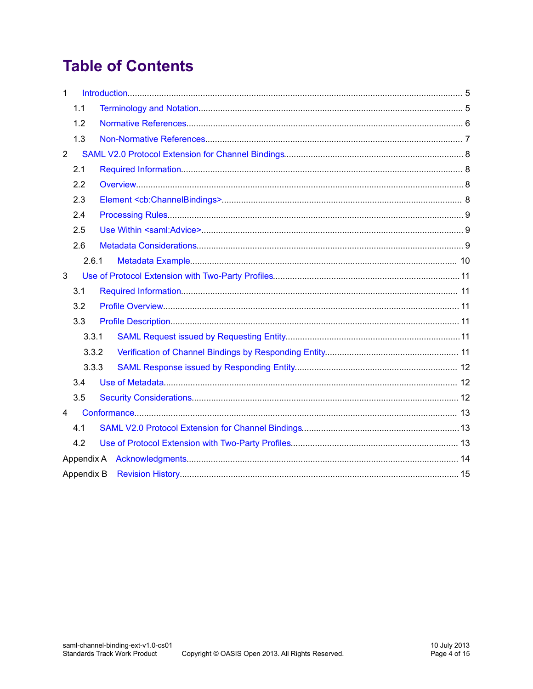## **Table of Contents**

| $\mathbf{1}$   |       |  |  |  |  |  |
|----------------|-------|--|--|--|--|--|
|                | 1.1   |  |  |  |  |  |
|                | 1.2   |  |  |  |  |  |
|                | 1.3   |  |  |  |  |  |
| $\overline{2}$ |       |  |  |  |  |  |
|                | 2.1   |  |  |  |  |  |
|                | 2.2   |  |  |  |  |  |
|                | 2.3   |  |  |  |  |  |
|                | 2.4   |  |  |  |  |  |
|                | 2.5   |  |  |  |  |  |
| 2.6            |       |  |  |  |  |  |
|                | 2.6.1 |  |  |  |  |  |
| 3              |       |  |  |  |  |  |
|                | 3.1   |  |  |  |  |  |
|                | 3.2   |  |  |  |  |  |
|                | 3.3   |  |  |  |  |  |
|                | 3.3.1 |  |  |  |  |  |
|                | 3.3.2 |  |  |  |  |  |
|                | 3.3.3 |  |  |  |  |  |
|                | 3.4   |  |  |  |  |  |
|                | 3.5   |  |  |  |  |  |
| $\overline{4}$ |       |  |  |  |  |  |
|                | 4.1   |  |  |  |  |  |
|                | 4.2   |  |  |  |  |  |
|                |       |  |  |  |  |  |
| Appendix B     |       |  |  |  |  |  |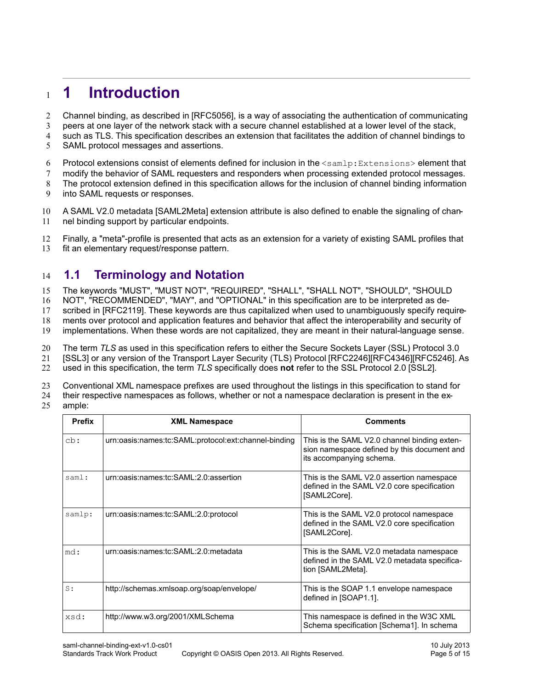### <span id="page-4-1"></span>**1 Introduction** 1

- Channel binding, as described in [\[RFC5056\],](#page-5-1) is a way of associating the authentication of communicating 2
- peers at one layer of the network stack with a secure channel established at a lower level of the stack, 3
- such as TLS. This specification describes an extension that facilitates the addition of channel bindings to 4
- SAML protocol messages and assertions. 5
- Protocol extensions consist of elements defined for inclusion in the <samlp:Extensions> element that 6
- modify the behavior of SAML requesters and responders when processing extended protocol messages. 7
- The protocol extension defined in this specification allows for the inclusion of channel binding information 8
- into SAML requests or responses. 9
- A SAML V2.0 metadata [\[SAML2Meta\]](#page-5-4) extension attribute is also defined to enable the signaling of channel binding support by particular endpoints. 10 11
- Finally, a "meta"-profile is presented that acts as an extension for a variety of existing SAML profiles that 12
- fit an elementary request/response pattern. 13

#### <span id="page-4-0"></span>**1.1 Terminology and Notation** 14

The keywords "MUST", "MUST NOT", "REQUIRED", "SHALL", "SHALL NOT", "SHOULD", "SHOULD 15

NOT", "RECOMMENDED", "MAY", and "OPTIONAL" in this specification are to be interpreted as de-16

scribed in [\[RFC2119\].](#page-5-10) These keywords are thus capitalized when used to unambiguously specify require-17

ments over protocol and application features and behavior that affect the interoperability and security of 18

implementations. When these words are not capitalized, they are meant in their natural-language sense. 19

The term *TLS* as used in this specification refers to either the Secure Sockets Layer (SSL) Protocol 3.0 20

[\[SSL3\]](#page-5-9) or any version of the Transport Layer Security (TLS) Protocol [\[RFC2246\]](#page-5-8)[\[RFC4346\]](#page-5-7)[\[RFC5246\].](#page-5-6) As 21

used in this specification, the term *TLS* specifically does **not** refer to the SSL Protocol 2.0 [\[SSL2\].](#page-6-1) 22

Conventional XML namespace prefixes are used throughout the listings in this specification to stand for 23

- their respective namespaces as follows, whether or not a namespace declaration is present in the ex-24
- ample: 25

| <b>Prefix</b> | <b>XML Namespace</b>                                 | <b>Comments</b>                                                                                                         |
|---------------|------------------------------------------------------|-------------------------------------------------------------------------------------------------------------------------|
| cb:           | urn:oasis:names:tc:SAML:protocol:ext:channel-binding | This is the SAML V2.0 channel binding exten-<br>sion namespace defined by this document and<br>its accompanying schema. |
| saml:         | urn:oasis:names:tc:SAML:2.0:assertion                | This is the SAML V2.0 assertion namespace<br>defined in the SAML V2.0 core specification<br>[SAML2Core].                |
| samlp:        | urn:oasis:names:tc:SAML:2.0:protocol                 | This is the SAML V2.0 protocol namespace<br>defined in the SAML V2.0 core specification<br>[SAML2Core].                 |
| md:           | urn:oasis:names:tc:SAML:2.0:metadata                 | This is the SAML V2.0 metadata namespace<br>defined in the SAML V2.0 metadata specifica-<br>tion [SAML2Meta].           |
| S:            | http://schemas.xmlsoap.org/soap/envelope/            | This is the SOAP 1.1 envelope namespace<br>defined in [SOAP1.1].                                                        |
| xsd:          | http://www.w3.org/2001/XMLSchema                     | This namespace is defined in the W3C XML<br>Schema specification [Schema1]. In schema                                   |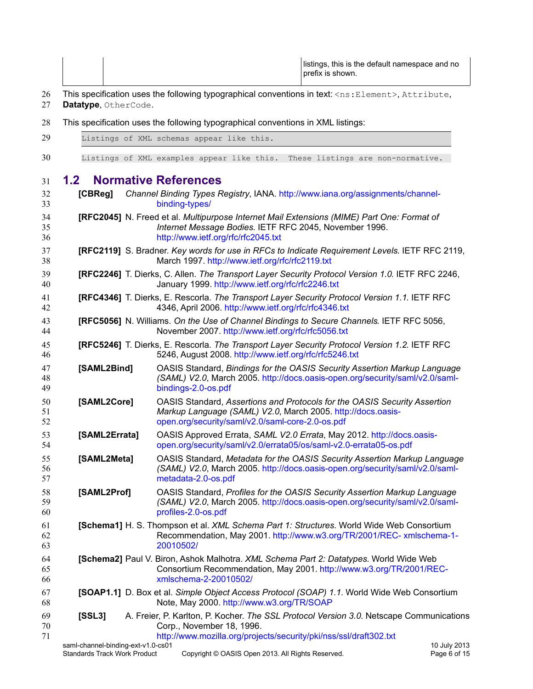|  | listings, this is the default namespace and no<br>∣ prefix is shown. |
|--|----------------------------------------------------------------------|
|--|----------------------------------------------------------------------|

- This specification uses the following typographical conventions in text: <ns: Element>, Attribute, 26
- **Datatype**, OtherCode. 27
- This specification uses the following typographical conventions in XML listings: 28

<span id="page-5-14"></span><span id="page-5-13"></span><span id="page-5-12"></span><span id="page-5-11"></span><span id="page-5-10"></span><span id="page-5-9"></span><span id="page-5-8"></span><span id="page-5-7"></span><span id="page-5-6"></span><span id="page-5-5"></span><span id="page-5-4"></span><span id="page-5-3"></span><span id="page-5-2"></span><span id="page-5-1"></span><span id="page-5-0"></span>

|                        |               | $\frac{1}{2}$                                                                                                                                                                                |
|------------------------|---------------|----------------------------------------------------------------------------------------------------------------------------------------------------------------------------------------------|
| 29                     |               | Listings of XML schemas appear like this.                                                                                                                                                    |
| 30                     |               | Listings of XML examples appear like this.<br>These listings are non-normative.                                                                                                              |
| 1.2 <sub>2</sub><br>31 |               | <b>Normative References</b>                                                                                                                                                                  |
| 32<br>33               | [CBReg]       | Channel Binding Types Registry, IANA. http://www.iana.org/assignments/channel-<br>binding-types/                                                                                             |
| 34<br>35<br>36         |               | [RFC2045] N. Freed et al. Multipurpose Internet Mail Extensions (MIME) Part One: Format of<br>Internet Message Bodies. IETF RFC 2045, November 1996.<br>http://www.ietf.org/rfc/rfc2045.txt  |
| 37<br>38               |               | [RFC2119] S. Bradner. Key words for use in RFCs to Indicate Requirement Levels. IETF RFC 2119,<br>March 1997. http://www.ietf.org/rfc/rfc2119.txt                                            |
| 39<br>40               |               | [RFC2246] T. Dierks, C. Allen. The Transport Layer Security Protocol Version 1.0. IETF RFC 2246,<br>January 1999. http://www.ietf.org/rfc/rfc2246.txt                                        |
| 41<br>42               |               | [RFC4346] T. Dierks, E. Rescorla. The Transport Layer Security Protocol Version 1.1. IETF RFC<br>4346, April 2006. http://www.ietf.org/rfc/rfc4346.txt                                       |
| 43<br>44               |               | [RFC5056] N. Williams. On the Use of Channel Bindings to Secure Channels. IETF RFC 5056,<br>November 2007. http://www.ietf.org/rfc/rfc5056.txt                                               |
| 45<br>46               |               | [RFC5246] T. Dierks, E. Rescorla. The Transport Layer Security Protocol Version 1.2. IETF RFC<br>5246, August 2008. http://www.ietf.org/rfc/rfc5246.txt                                      |
| 47<br>48<br>49         | [SAML2Bind]   | OASIS Standard, Bindings for the OASIS Security Assertion Markup Language<br>(SAML) V2.0, March 2005. http://docs.oasis-open.org/security/saml/v2.0/saml-<br>bindings-2.0-os.pdf             |
| 50<br>51<br>52         | [SAML2Core]   | OASIS Standard, Assertions and Protocols for the OASIS Security Assertion<br>Markup Language (SAML) V2.0, March 2005. http://docs.oasis-<br>open.org/security/saml/v2.0/saml-core-2.0-os.pdf |
| 53<br>54               | [SAML2Errata] | OASIS Approved Errata, SAML V2.0 Errata, May 2012. http://docs.oasis-<br>open.org/security/saml/v2.0/errata05/os/saml-v2.0-errata05-os.pdf                                                   |
| 55<br>56<br>57         | [SAML2Meta]   | OASIS Standard, Metadata for the OASIS Security Assertion Markup Language<br>(SAML) V2.0, March 2005. http://docs.oasis-open.org/security/saml/v2.0/saml-<br>metadata-2.0-os.pdf             |
| 58<br>59<br>60         | [SAML2Prof]   | OASIS Standard, Profiles for the OASIS Security Assertion Markup Language<br>(SAML) V2.0, March 2005. http://docs.oasis-open.org/security/saml/v2.0/saml-<br>profiles-2.0-os.pdf             |
| 61<br>62<br>63         |               | [Schema1] H. S. Thompson et al. XML Schema Part 1: Structures. World Wide Web Consortium<br>Recommendation, May 2001. http://www.w3.org/TR/2001/REC- xmlschema-1-<br>20010502/               |
| 64<br>65<br>66         |               | [Schema2] Paul V. Biron, Ashok Malhotra. XML Schema Part 2: Datatypes. World Wide Web<br>Consortium Recommendation, May 2001. http://www.w3.org/TR/2001/REC-<br>xmlschema-2-20010502/        |
| 67<br>68               |               | [SOAP1.1] D. Box et al. Simple Object Access Protocol (SOAP) 1.1. World Wide Web Consortium<br>Note, May 2000. http://www.w3.org/TR/SOAP                                                     |
| 69<br>70<br>71         | [SSL3]        | A. Freier, P. Karlton, P. Kocher. The SSL Protocol Version 3.0. Netscape Communications<br>Corp., November 18, 1996.<br>http://www.mozilla.org/projects/security/pki/nss/ssl/draft302.txt    |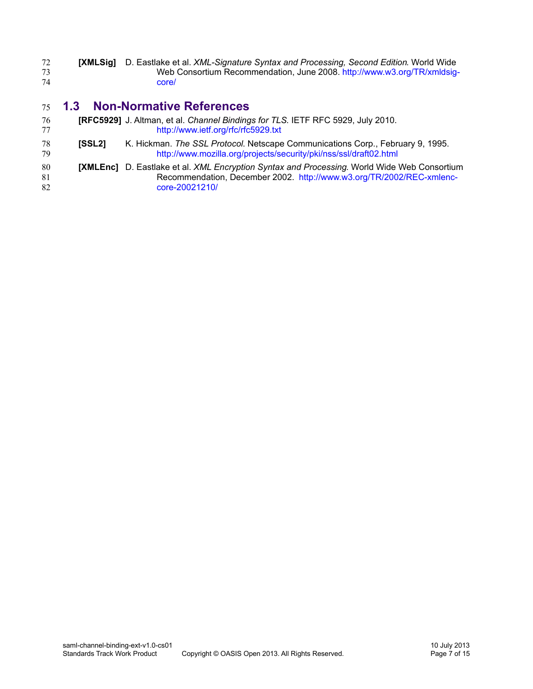<span id="page-6-3"></span>

| 72 | <b>[XMLSig]</b> D. Eastlake et al. <i>XML-Signature Syntax and Processing, Second Edition.</i> World Wide |
|----|-----------------------------------------------------------------------------------------------------------|
|    | Web Consortium Recommendation, June 2008. http://www.w3.org/TR/xmldsig-                                   |
| 74 | core/                                                                                                     |

#### <span id="page-6-0"></span>**1.3 Non-Normative References** 75

- <span id="page-6-2"></span>**[RFC5929]** J. Altman, et al. *Channel Bindings for TLS*. IETF RFC 5929, July 2010. <http://www.ietf.org/rfc/rfc5929.txt> 76 77
- <span id="page-6-1"></span>**[SSL2]** K. Hickman. *The SSL Protocol*. Netscape Communications Corp., February 9, 1995. <http://www.mozilla.org/projects/security/pki/nss/ssl/draft02.html> 78 79
- <span id="page-6-4"></span>**[XMLEnc]** D. Eastlake et al. *XML Encryption Syntax and Processing*. World Wide Web Consortium Recommendation, December 2002. [http://www.w3.org/TR/2002/REC-xmlenc](http://www.w3.org/TR/2002/REC-xmlenc-core-20021210/)[core-20021210/](http://www.w3.org/TR/2002/REC-xmlenc-core-20021210/) 80 81 82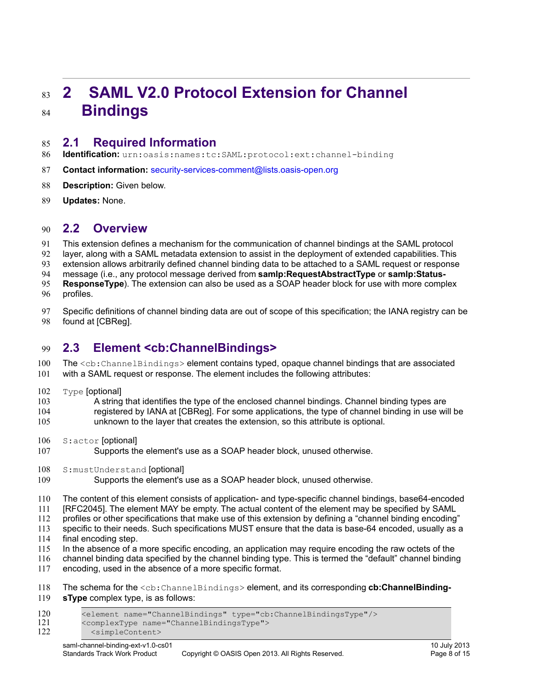### <span id="page-7-3"></span>**2 SAML V2.0 Protocol Extension for Channel Bindings** 83 84

#### <span id="page-7-2"></span>**2.1 Required Information** 85

- **Identification:** urn:oasis:names:tc:SAML:protocol:ext:channel-binding 86
- **Contact information:** [security-services-comment@lists.oasis-open.org](mailto:security-services-comment@lists.oasis-open.org) 87
- **[Description:](mailto:security-services-comment@lists.oasis-open.org)** [Given below.](mailto:security-services-comment@lists.oasis-open.org) 88
- **[Updates:](mailto:security-services-comment@lists.oasis-open.org)** None. 89

#### <span id="page-7-1"></span>**2.2 Overview** 90

This extension defines a mechanism for the communication of channel bindings at the SAML protocol layer, along with a SAML metadata extension to assist in the deployment of extended capabilities. This 91 92

extension allows arbitrarily defined channel binding data to be attached to a SAML request or response 93

message (i.e., any protocol message derived from **samlp:RequestAbstractType** or **samlp:Status-**94

- **ResponseType**). The extension can also be used as a SOAP header block for use with more complex profiles. 95 96
- Specific definitions of channel binding data are out of scope of this specification; the IANA registry can be found at [\[CBReg\].](#page-5-12) 97 98

#### <span id="page-7-0"></span>**2.3 Element <cb:ChannelBindings>** 99

- The <cb: ChannelBindings> element contains typed, opaque channel bindings that are associated with a SAML request or response. The element includes the following attributes: 100 101
- Type [optional] 102
- A string that identifies the type of the enclosed channel bindings. Channel binding types are 103
- registered by IANA at [\[CBReg\].](#page-5-12) For some applications, the type of channel binding in use will be unknown to the layer that creates the extension, so this attribute is optional. 104 105
- S:actor [optional] 106
- Supports the element's use as a SOAP header block, unused otherwise. 107
- S:mustUnderstand [optional] 108
- Supports the element's use as a SOAP header block, unused otherwise. 109
- The content of this element consists of application- and type-specific channel bindings, base64-encoded 110
- [\[RFC2045\].](#page-5-11) The element MAY be empty. The actual content of the element may be specified by SAML 111
- profiles or other specifications that make use of this extension by defining a "channel binding encoding" 112
- specific to their needs. Such specifications MUST ensure that the data is base-64 encoded, usually as a final encoding step. 113 114
- In the absence of a more specific encoding, an application may require encoding the raw octets of the 115
- channel binding data specified by the channel binding type. This is termed the "default" channel binding 116
- encoding, used in the absence of a more specific format. 117
- The schema for the <cb:ChannelBindings> element, and its corresponding **cb:ChannelBinding-**118
- **sType** complex type, is as follows: 119
- <element name="ChannelBindings" type="cb:ChannelBindingsType"/> <complexType name="ChannelBindingsType"> <simpleContent> 120 121 122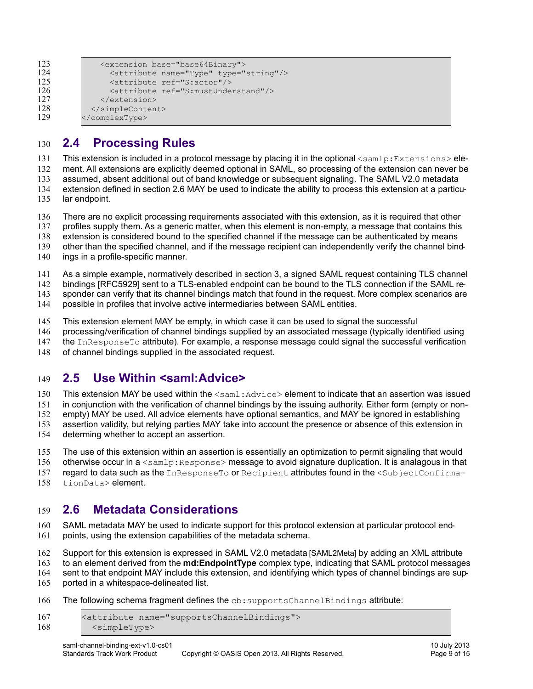```
 <extension base="base64Binary">
                 <attribute name="Type" type="string"/>
                 <attribute ref="S:actor"/>
                 <attribute ref="S:mustUnderstand"/>
               </extension>
             </simpleContent>
          </complexType>
123
124
125
126
127
128
129
```
#### <span id="page-8-2"></span>**2.4 Processing Rules** 130

This extension is included in a protocol message by placing it in the optional  $\leq$ samlp: Extensions> ele-131

ment. All extensions are explicitly deemed optional in SAML, so processing of the extension can never be assumed, absent additional out of band knowledge or subsequent signaling. The SAML V2.0 metadata 132 133

extension defined in section [2.6](#page-8-0) MAY be used to indicate the ability to process this extension at a particu-134

lar endpoint. 135

There are no explicit processing requirements associated with this extension, as it is required that other 136

profiles supply them. As a generic matter, when this element is non-empty, a message that contains this 137

extension is considered bound to the specified channel if the message can be authenticated by means 138

other than the specified channel, and if the message recipient can independently verify the channel bind-139

ings in a profile-specific manner. 140

As a simple example, normatively described in section [3,](#page-10-5) a signed SAML request containing TLS channel 141

bindings [\[RFC5929\]](#page-6-2) sent to a TLS-enabled endpoint can be bound to the TLS connection if the SAML re-142

sponder can verify that its channel bindings match that found in the request. More complex scenarios are 143

possible in profiles that involve active intermediaries between SAML entities. 144

This extension element MAY be empty, in which case it can be used to signal the successful 145

processing/verification of channel bindings supplied by an associated message (typically identified using 146

the InResponseTo attribute). For example, a response message could signal the successful verification 147

of channel bindings supplied in the associated request. 148

#### <span id="page-8-1"></span>**2.5 Use Within <saml:Advice>** 149

This extension MAY be used within the  $\leq$ saml: Advice> element to indicate that an assertion was issued 150

in conjunction with the verification of channel bindings by the issuing authority. Either form (empty or non-151

empty) MAY be used. All advice elements have optional semantics, and MAY be ignored in establishing 152

assertion validity, but relying parties MAY take into account the presence or absence of this extension in 153

- determing whether to accept an assertion. 154
- The use of this extension within an assertion is essentially an optimization to permit signaling that would 155
- otherwise occur in a <samlp: Response> message to avoid signature duplication. It is analagous in that 156

regard to data such as the InResponseTo or Recipient attributes found in the <SubjectConfirma-157

tionData> element. 158

#### <span id="page-8-0"></span>**2.6 Metadata Considerations** 159

SAML metadata MAY be used to indicate support for this protocol extension at particular protocol endpoints, using the extension capabilities of the metadata schema. 160 161

Support for this extension is expressed in SAML V2.0 metadata [\[SAML2Meta\]](#page-5-4) by adding an XML attribute 162

to an element derived from the **md:EndpointType** complex type, indicating that SAML protocol messages 163

sent to that endpoint MAY include this extension, and identifying which types of channel bindings are sup-164

ported in a whitespace-delineated list. 165

The following schema fragment defines the  $cb$ : supportsChannelBindings attribute: 166

```
<attribute name="supportsChannelBindings">
            <simpleType>
167
168
```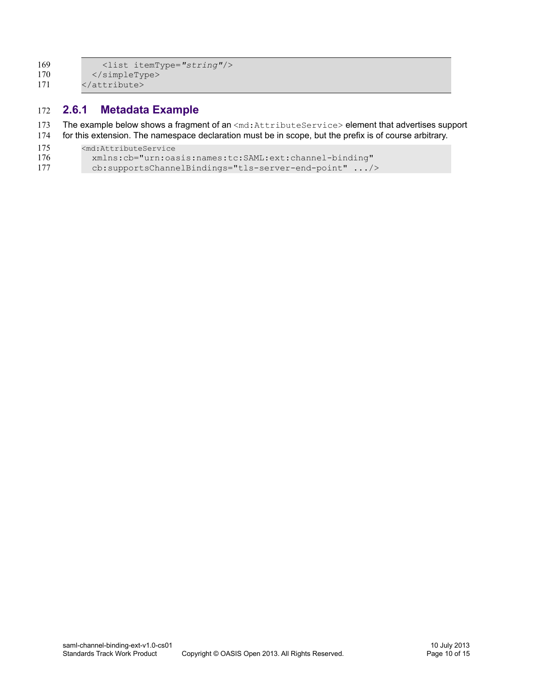<list itemType=*"string"*/> </simpleType> </attribute> 169 170 171

#### <span id="page-9-0"></span>**2.6.1 Metadata Example** 172

- The example below shows a fragment of an <md:AttributeService> element that advertises support 173
- for this extension. The namespace declaration must be in scope, but the prefix is of course arbitrary. 174

```
<md:AttributeService
175
```

```
 xmlns:cb="urn:oasis:names:tc:SAML:ext:channel-binding"
           cb:supportsChannelBindings="tls-server-end-point" .../>
176
177
```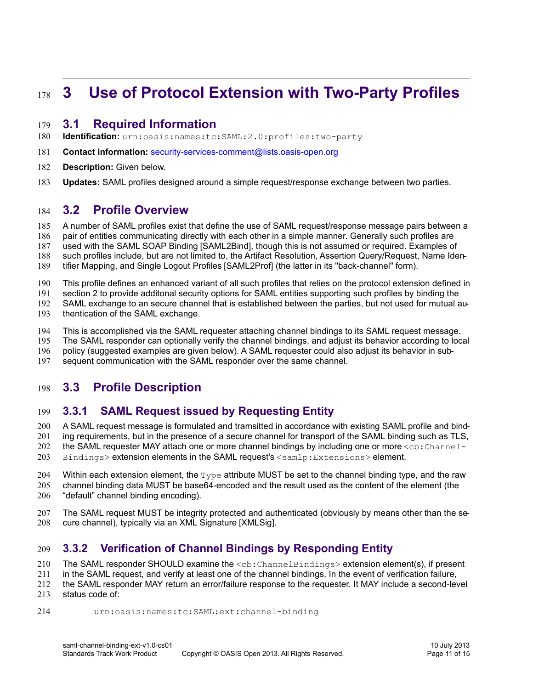### <span id="page-10-5"></span>**3 Use of Protocol Extension with Two-Party Profiles** 178

#### <span id="page-10-4"></span>**3.1 Required Information** 179

- **Identification:** urn:oasis:names:tc:SAML:2.0:profiles:two-party 180
- **Contact information:** [security-services-comment@lists.oasis-open.org](mailto:security-services-comment@lists.oasis-open.org) 181
- **[Description:](mailto:security-services-comment@lists.oasis-open.org)** [Given below.](mailto:security-services-comment@lists.oasis-open.org) 182
- **[Updates:](mailto:security-services-comment@lists.oasis-open.org)** SAML profiles designed around a simple request/response exchange between two parties. 183

#### <span id="page-10-3"></span>**3.2 Profile Overview** 184

A number of SAML profiles exist that define the use of SAML request/response message pairs between a 185

- pair of entities communicating directly with each other in a simple manner. Generally such profiles are 186
- used with the SAML SOAP Binding [\[SAML2Bind\],](#page-5-14) though this is not assumed or required. Examples of 187
- such profiles include, but are not limited to, the Artifact Resolution, Assertion Query/Request, Name Iden-188
- tifier Mapping, and Single Logout Profiles [\[SAML2Prof\]](#page-5-13) (the latter in its "back-channel" form). 189
- This profile defines an enhanced variant of all such profiles that relies on the protocol extension defined in 190
- section [2](#page-7-3) to provide additonal security options for SAML entities supporting such profiles by binding the 191
- SAML exchange to an secure channel that is established between the parties, but not used for mutual au-192
- thentication of the SAML exchange. 193
- This is accomplished via the SAML requester attaching channel bindings to its SAML request message. 194
- The SAML responder can optionally verify the channel bindings, and adjust its behavior according to local 195
- policy (suggested examples are given below). A SAML requester could also adjust its behavior in sub-196
- sequent communication with the SAML responder over the same channel. 197

#### <span id="page-10-2"></span>**3.3 Profile Description** 198

#### <span id="page-10-1"></span>**3.3.1 SAML Request issued by Requesting Entity** 199

A SAML request message is formulated and tramsitted in accordance with existing SAML profile and bind-200

- ing requirements, but in the presence of a secure channel for transport of the SAML binding such as TLS, 201
- the SAML requester MAY attach one or more channel bindings by including one or more <cb: Channel-202
- Bindings> extension elements in the SAML request's <samlp:Extensions> element. 203
- Within each extension element, the  $T_{\text{VDE}}$  attribute MUST be set to the channel binding type, and the raw 204
- channel binding data MUST be base64-encoded and the result used as the content of the element (the "default" channel binding encoding). 205 206
- The SAML request MUST be integrity protected and authenticated (obviously by means other than the secure channel), typically via an XML Signature [\[XMLSig\].](#page-6-3) 207 208

#### <span id="page-10-0"></span>**3.3.2 Verification of Channel Bindings by Responding Entity** 209

The SAML responder SHOULD examine the  $\langle cb; {\tt ChannelBindings} \rangle$  extension element(s), if present 210

in the SAML request, and verify at least one of the channel bindings. In the event of verification failure, 211

the SAML responder MAY return an error/failure response to the requester. It MAY include a second-level status code of: 212 213

urn:oasis:names:tc:SAML:ext:channel-binding 214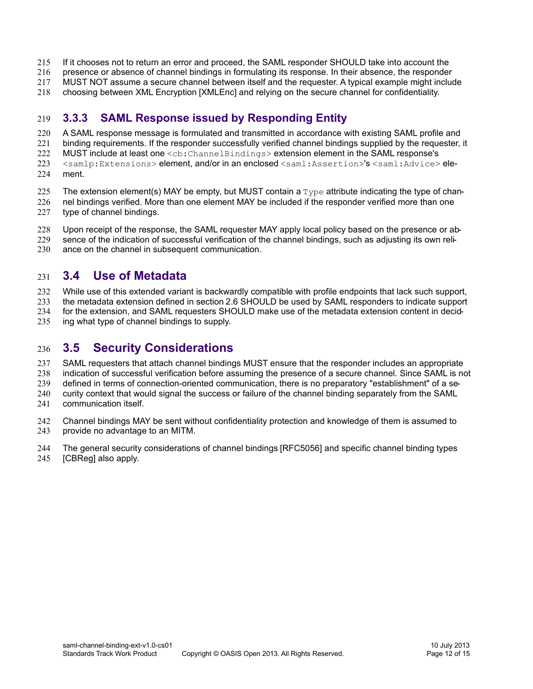- If it chooses not to return an error and proceed, the SAML responder SHOULD take into account the 215
- presence or absence of channel bindings in formulating its response. In their absence, the responder 216
- MUST NOT assume a secure channel between itself and the requester. A typical example might include 217
- choosing between XML Encryption [\[XMLEnc\]](#page-6-4) and relying on the secure channel for confidentiality. 218

#### <span id="page-11-2"></span>**3.3.3 SAML Response issued by Responding Entity** 219

- A SAML response message is formulated and transmitted in accordance with existing SAML profile and 220
- binding requirements. If the responder successfully verified channel bindings supplied by the requester, it 221
- MUST include at least one <cb:ChannelBindings> extension element in the SAML response's 222 223
- <samlp:Extensions> element, and/or in an enclosed <saml:Assertion>'s <saml:Advice> ele-
- ment. 224
- The extension element(s) MAY be empty, but MUST contain a  $Type$  attribute indicating the type of chan-225
- nel bindings verified. More than one element MAY be included if the responder verified more than one 226
- type of channel bindings. 227
- Upon receipt of the response, the SAML requester MAY apply local policy based on the presence or ab-228
- sence of the indication of successful verification of the channel bindings, such as adjusting its own reli-229
- ance on the channel in subsequent communication. 230

#### <span id="page-11-1"></span>**3.4 Use of Metadata** 231

- While use of this extended variant is backwardly compatible with profile endpoints that lack such support, 232
- the metadata extension defined in section [2.6](#page-8-0) SHOULD be used by SAML responders to indicate support 233
- for the extension, and SAML requesters SHOULD make use of the metadata extension content in deciding what type of channel bindings to supply. 234 235
- 

#### <span id="page-11-0"></span>**3.5 Security Considerations** 236

- SAML requesters that attach channel bindings MUST ensure that the responder includes an appropriate indication of successful verification before assuming the presence of a secure channel. Since SAML is not defined in terms of connection-oriented communication, there is no preparatory "establishment" of a security context that would signal the success or failure of the channel binding separately from the SAML 237 238 239 240
- communication itself. 241
- Channel bindings MAY be sent without confidentiality protection and knowledge of them is assumed to provide no advantage to an MITM. 242 243
- The general security considerations of channel bindings [\[RFC5056\]](#page-5-1) and specific channel binding types [\[CBReg\]](#page-5-12) also apply. 244 245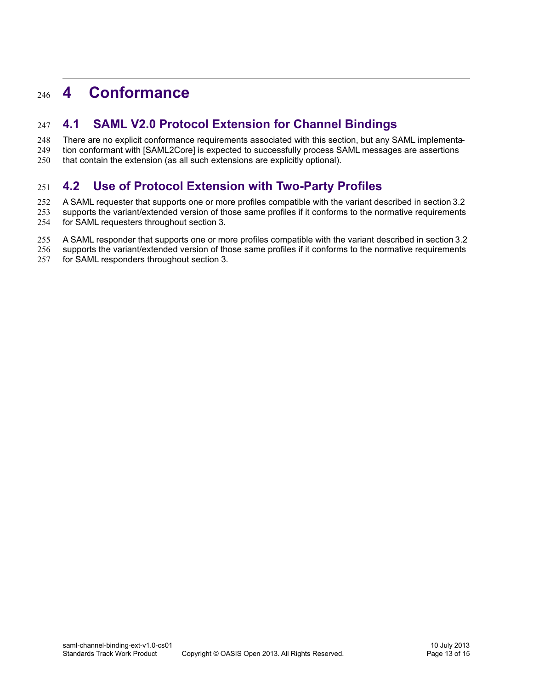#### <span id="page-12-2"></span>**4 Conformance** 246

#### <span id="page-12-1"></span>**4.1 SAML V2.0 Protocol Extension for Channel Bindings** 247

There are no explicit conformance requirements associated with this section, but any SAML implementation conformant with [\[SAML2Core\]](#page-5-5) is expected to successfully process SAML messages are assertions 248 249

that contain the extension (as all such extensions are explicitly optional). 250

#### <span id="page-12-0"></span>**4.2 Use of Protocol Extension with Two-Party Profiles** 251

A SAML requester that supports one or more profiles compatible with the variant described in section [3.2](#page-10-3) 252

- supports the variant/extended version of those same profiles if it conforms to the normative requirements 253
- for SAML requesters throughout section [3.](#page-10-5) 254
- A SAML responder that supports one or more profiles compatible with the variant described in section [3.2](#page-10-3) 255
- supports the variant/extended version of those same profiles if it conforms to the normative requirements 256
- for SAML responders throughout section [3.](#page-10-5) 257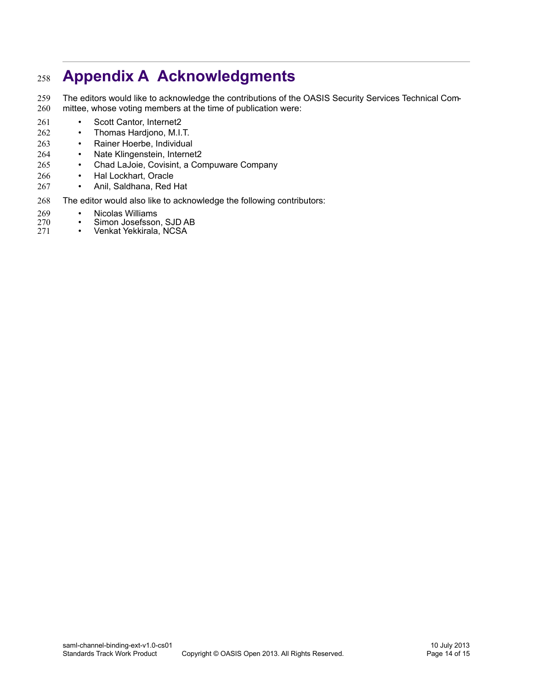### <span id="page-13-0"></span>**Appendix A Acknowledgments** 258

The editors would like to acknowledge the contributions of the OASIS Security Services Technical Committee, whose voting members at the time of publication were: 259 260

- Scott Cantor, Internet2 261
- Thomas Hardjono, M.I.T. 262
- Rainer Hoerbe, Individual 263
- Nate Klingenstein, Internet2 264
- Chad LaJoie, Covisint, a Compuware Company 265
- Hal Lockhart, Oracle 266
- Anil, Saldhana, Red Hat 267
- The editor would also like to acknowledge the following contributors: 268
- Nicolas Williams<br>• Simon Josefsson 269
- Simon Josefsson, SJD AB<br>• Venkat Yekkirala, NCSA 270
- Venkat Yekkirala, NCSA 271